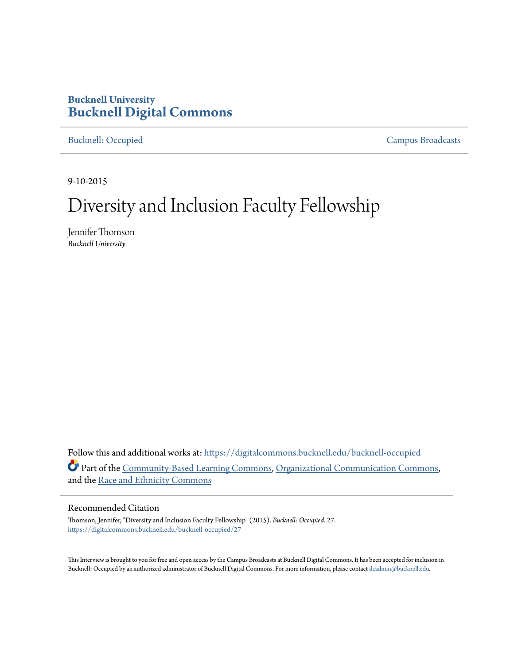## **Bucknell University [Bucknell Digital Commons](https://digitalcommons.bucknell.edu/?utm_source=digitalcommons.bucknell.edu%2Fbucknell-occupied%2F27&utm_medium=PDF&utm_campaign=PDFCoverPages)**

[Bucknell: Occupied](https://digitalcommons.bucknell.edu/bucknell-occupied?utm_source=digitalcommons.bucknell.edu%2Fbucknell-occupied%2F27&utm_medium=PDF&utm_campaign=PDFCoverPages) [Campus Broadcasts](https://digitalcommons.bucknell.edu/campus-broadcasts?utm_source=digitalcommons.bucknell.edu%2Fbucknell-occupied%2F27&utm_medium=PDF&utm_campaign=PDFCoverPages)

9-10-2015

## Diversity and Inclusion Faculty Fellowship

Jennifer Thomson *Bucknell University*

Follow this and additional works at: [https://digitalcommons.bucknell.edu/bucknell-occupied](https://digitalcommons.bucknell.edu/bucknell-occupied?utm_source=digitalcommons.bucknell.edu%2Fbucknell-occupied%2F27&utm_medium=PDF&utm_campaign=PDFCoverPages) Part of the [Community-Based Learning Commons,](http://network.bepress.com/hgg/discipline/1046?utm_source=digitalcommons.bucknell.edu%2Fbucknell-occupied%2F27&utm_medium=PDF&utm_campaign=PDFCoverPages) [Organizational Communication Commons](http://network.bepress.com/hgg/discipline/335?utm_source=digitalcommons.bucknell.edu%2Fbucknell-occupied%2F27&utm_medium=PDF&utm_campaign=PDFCoverPages), and the [Race and Ethnicity Commons](http://network.bepress.com/hgg/discipline/426?utm_source=digitalcommons.bucknell.edu%2Fbucknell-occupied%2F27&utm_medium=PDF&utm_campaign=PDFCoverPages)

## Recommended Citation

Thomson, Jennifer, "Diversity and Inclusion Faculty Fellowship" (2015). *Bucknell: Occupied*. 27. [https://digitalcommons.bucknell.edu/bucknell-occupied/27](https://digitalcommons.bucknell.edu/bucknell-occupied/27?utm_source=digitalcommons.bucknell.edu%2Fbucknell-occupied%2F27&utm_medium=PDF&utm_campaign=PDFCoverPages)

This Interview is brought to you for free and open access by the Campus Broadcasts at Bucknell Digital Commons. It has been accepted for inclusion in Bucknell: Occupied by an authorized administrator of Bucknell Digital Commons. For more information, please contact [dcadmin@bucknell.edu](mailto:dcadmin@bucknell.edu).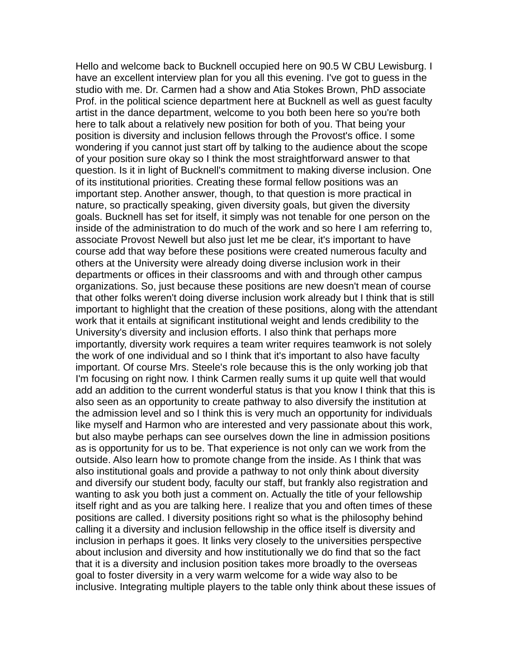Hello and welcome back to Bucknell occupied here on 90.5 W CBU Lewisburg. I have an excellent interview plan for you all this evening. I've got to guess in the studio with me. Dr. Carmen had a show and Atia Stokes Brown, PhD associate Prof. in the political science department here at Bucknell as well as guest faculty artist in the dance department, welcome to you both been here so you're both here to talk about a relatively new position for both of you. That being your position is diversity and inclusion fellows through the Provost's office. I some wondering if you cannot just start off by talking to the audience about the scope of your position sure okay so I think the most straightforward answer to that question. Is it in light of Bucknell's commitment to making diverse inclusion. One of its institutional priorities. Creating these formal fellow positions was an important step. Another answer, though, to that question is more practical in nature, so practically speaking, given diversity goals, but given the diversity goals. Bucknell has set for itself, it simply was not tenable for one person on the inside of the administration to do much of the work and so here I am referring to, associate Provost Newell but also just let me be clear, it's important to have course add that way before these positions were created numerous faculty and others at the University were already doing diverse inclusion work in their departments or offices in their classrooms and with and through other campus organizations. So, just because these positions are new doesn't mean of course that other folks weren't doing diverse inclusion work already but I think that is still important to highlight that the creation of these positions, along with the attendant work that it entails at significant institutional weight and lends credibility to the University's diversity and inclusion efforts. I also think that perhaps more importantly, diversity work requires a team writer requires teamwork is not solely the work of one individual and so I think that it's important to also have faculty important. Of course Mrs. Steele's role because this is the only working job that I'm focusing on right now. I think Carmen really sums it up quite well that would add an addition to the current wonderful status is that you know I think that this is also seen as an opportunity to create pathway to also diversify the institution at the admission level and so I think this is very much an opportunity for individuals like myself and Harmon who are interested and very passionate about this work, but also maybe perhaps can see ourselves down the line in admission positions as is opportunity for us to be. That experience is not only can we work from the outside. Also learn how to promote change from the inside. As I think that was also institutional goals and provide a pathway to not only think about diversity and diversify our student body, faculty our staff, but frankly also registration and wanting to ask you both just a comment on. Actually the title of your fellowship itself right and as you are talking here. I realize that you and often times of these positions are called. I diversity positions right so what is the philosophy behind calling it a diversity and inclusion fellowship in the office itself is diversity and inclusion in perhaps it goes. It links very closely to the universities perspective about inclusion and diversity and how institutionally we do find that so the fact that it is a diversity and inclusion position takes more broadly to the overseas goal to foster diversity in a very warm welcome for a wide way also to be inclusive. Integrating multiple players to the table only think about these issues of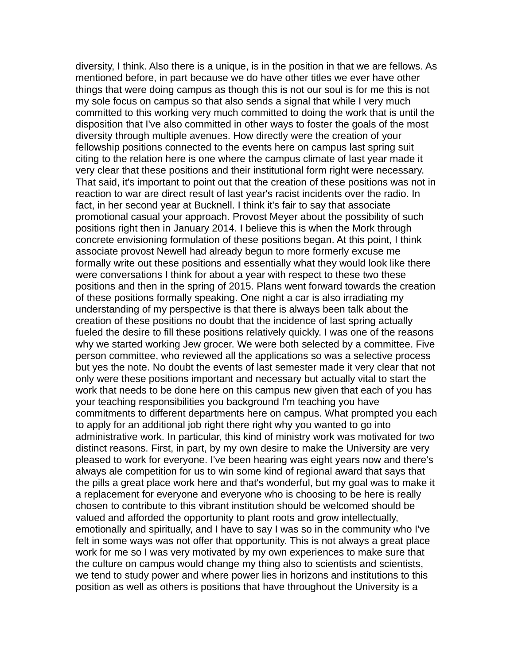diversity, I think. Also there is a unique, is in the position in that we are fellows. As mentioned before, in part because we do have other titles we ever have other things that were doing campus as though this is not our soul is for me this is not my sole focus on campus so that also sends a signal that while I very much committed to this working very much committed to doing the work that is until the disposition that I've also committed in other ways to foster the goals of the most diversity through multiple avenues. How directly were the creation of your fellowship positions connected to the events here on campus last spring suit citing to the relation here is one where the campus climate of last year made it very clear that these positions and their institutional form right were necessary. That said, it's important to point out that the creation of these positions was not in reaction to war are direct result of last year's racist incidents over the radio. In fact, in her second year at Bucknell. I think it's fair to say that associate promotional casual your approach. Provost Meyer about the possibility of such positions right then in January 2014. I believe this is when the Mork through concrete envisioning formulation of these positions began. At this point, I think associate provost Newell had already begun to more formerly excuse me formally write out these positions and essentially what they would look like there were conversations I think for about a year with respect to these two these positions and then in the spring of 2015. Plans went forward towards the creation of these positions formally speaking. One night a car is also irradiating my understanding of my perspective is that there is always been talk about the creation of these positions no doubt that the incidence of last spring actually fueled the desire to fill these positions relatively quickly. I was one of the reasons why we started working Jew grocer. We were both selected by a committee. Five person committee, who reviewed all the applications so was a selective process but yes the note. No doubt the events of last semester made it very clear that not only were these positions important and necessary but actually vital to start the work that needs to be done here on this campus new given that each of you has your teaching responsibilities you background I'm teaching you have commitments to different departments here on campus. What prompted you each to apply for an additional job right there right why you wanted to go into administrative work. In particular, this kind of ministry work was motivated for two distinct reasons. First, in part, by my own desire to make the University are very pleased to work for everyone. I've been hearing was eight years now and there's always ale competition for us to win some kind of regional award that says that the pills a great place work here and that's wonderful, but my goal was to make it a replacement for everyone and everyone who is choosing to be here is really chosen to contribute to this vibrant institution should be welcomed should be valued and afforded the opportunity to plant roots and grow intellectually, emotionally and spiritually, and I have to say I was so in the community who I've felt in some ways was not offer that opportunity. This is not always a great place work for me so I was very motivated by my own experiences to make sure that the culture on campus would change my thing also to scientists and scientists, we tend to study power and where power lies in horizons and institutions to this position as well as others is positions that have throughout the University is a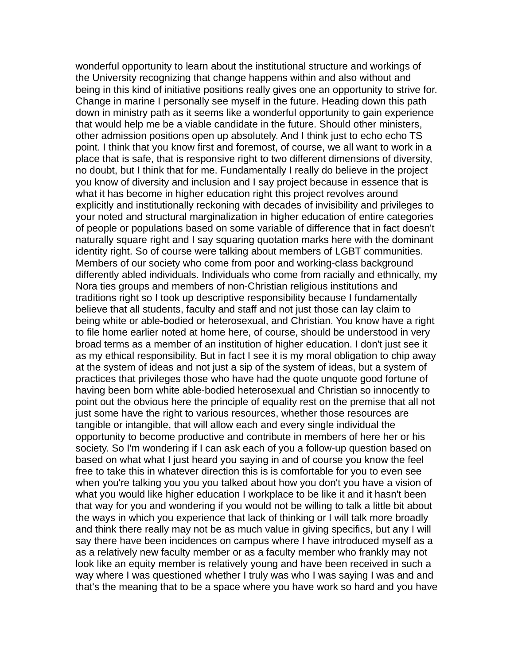wonderful opportunity to learn about the institutional structure and workings of the University recognizing that change happens within and also without and being in this kind of initiative positions really gives one an opportunity to strive for. Change in marine I personally see myself in the future. Heading down this path down in ministry path as it seems like a wonderful opportunity to gain experience that would help me be a viable candidate in the future. Should other ministers, other admission positions open up absolutely. And I think just to echo echo TS point. I think that you know first and foremost, of course, we all want to work in a place that is safe, that is responsive right to two different dimensions of diversity, no doubt, but I think that for me. Fundamentally I really do believe in the project you know of diversity and inclusion and I say project because in essence that is what it has become in higher education right this project revolves around explicitly and institutionally reckoning with decades of invisibility and privileges to your noted and structural marginalization in higher education of entire categories of people or populations based on some variable of difference that in fact doesn't naturally square right and I say squaring quotation marks here with the dominant identity right. So of course were talking about members of LGBT communities. Members of our society who come from poor and working-class background differently abled individuals. Individuals who come from racially and ethnically, my Nora ties groups and members of non-Christian religious institutions and traditions right so I took up descriptive responsibility because I fundamentally believe that all students, faculty and staff and not just those can lay claim to being white or able-bodied or heterosexual, and Christian. You know have a right to file home earlier noted at home here, of course, should be understood in very broad terms as a member of an institution of higher education. I don't just see it as my ethical responsibility. But in fact I see it is my moral obligation to chip away at the system of ideas and not just a sip of the system of ideas, but a system of practices that privileges those who have had the quote unquote good fortune of having been born white able-bodied heterosexual and Christian so innocently to point out the obvious here the principle of equality rest on the premise that all not just some have the right to various resources, whether those resources are tangible or intangible, that will allow each and every single individual the opportunity to become productive and contribute in members of here her or his society. So I'm wondering if I can ask each of you a follow-up question based on based on what what I just heard you saying in and of course you know the feel free to take this in whatever direction this is is comfortable for you to even see when you're talking you you you talked about how you don't you have a vision of what you would like higher education I workplace to be like it and it hasn't been that way for you and wondering if you would not be willing to talk a little bit about the ways in which you experience that lack of thinking or I will talk more broadly and think there really may not be as much value in giving specifics, but any I will say there have been incidences on campus where I have introduced myself as a as a relatively new faculty member or as a faculty member who frankly may not look like an equity member is relatively young and have been received in such a way where I was questioned whether I truly was who I was saying I was and and that's the meaning that to be a space where you have work so hard and you have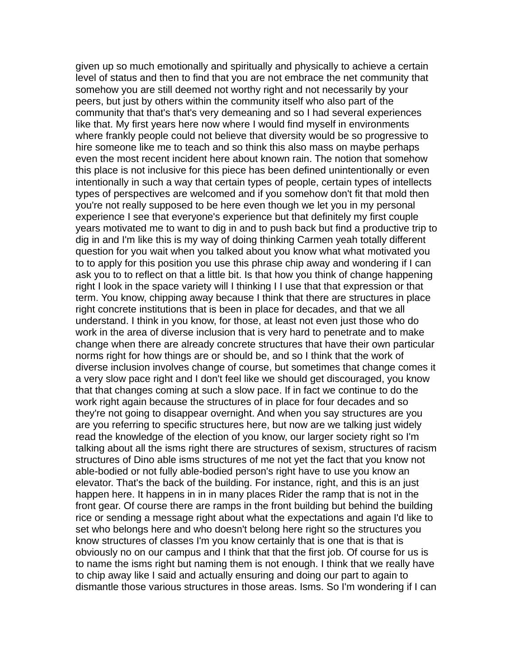given up so much emotionally and spiritually and physically to achieve a certain level of status and then to find that you are not embrace the net community that somehow you are still deemed not worthy right and not necessarily by your peers, but just by others within the community itself who also part of the community that that's that's very demeaning and so I had several experiences like that. My first years here now where I would find myself in environments where frankly people could not believe that diversity would be so progressive to hire someone like me to teach and so think this also mass on maybe perhaps even the most recent incident here about known rain. The notion that somehow this place is not inclusive for this piece has been defined unintentionally or even intentionally in such a way that certain types of people, certain types of intellects types of perspectives are welcomed and if you somehow don't fit that mold then you're not really supposed to be here even though we let you in my personal experience I see that everyone's experience but that definitely my first couple years motivated me to want to dig in and to push back but find a productive trip to dig in and I'm like this is my way of doing thinking Carmen yeah totally different question for you wait when you talked about you know what what motivated you to to apply for this position you use this phrase chip away and wondering if I can ask you to to reflect on that a little bit. Is that how you think of change happening right I look in the space variety will I thinking I I use that that expression or that term. You know, chipping away because I think that there are structures in place right concrete institutions that is been in place for decades, and that we all understand. I think in you know, for those, at least not even just those who do work in the area of diverse inclusion that is very hard to penetrate and to make change when there are already concrete structures that have their own particular norms right for how things are or should be, and so I think that the work of diverse inclusion involves change of course, but sometimes that change comes it a very slow pace right and I don't feel like we should get discouraged, you know that that changes coming at such a slow pace. If in fact we continue to do the work right again because the structures of in place for four decades and so they're not going to disappear overnight. And when you say structures are you are you referring to specific structures here, but now are we talking just widely read the knowledge of the election of you know, our larger society right so I'm talking about all the isms right there are structures of sexism, structures of racism structures of Dino able isms structures of me not yet the fact that you know not able-bodied or not fully able-bodied person's right have to use you know an elevator. That's the back of the building. For instance, right, and this is an just happen here. It happens in in in many places Rider the ramp that is not in the front gear. Of course there are ramps in the front building but behind the building rice or sending a message right about what the expectations and again I'd like to set who belongs here and who doesn't belong here right so the structures you know structures of classes I'm you know certainly that is one that is that is obviously no on our campus and I think that that the first job. Of course for us is to name the isms right but naming them is not enough. I think that we really have to chip away like I said and actually ensuring and doing our part to again to dismantle those various structures in those areas. Isms. So I'm wondering if I can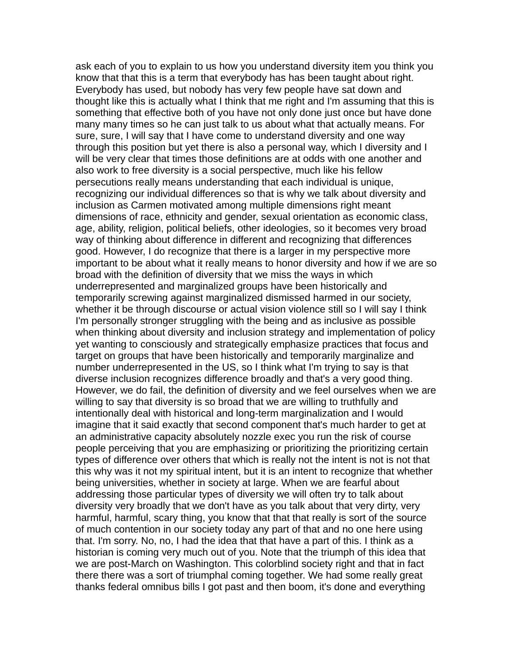ask each of you to explain to us how you understand diversity item you think you know that that this is a term that everybody has has been taught about right. Everybody has used, but nobody has very few people have sat down and thought like this is actually what I think that me right and I'm assuming that this is something that effective both of you have not only done just once but have done many many times so he can just talk to us about what that actually means. For sure, sure, I will say that I have come to understand diversity and one way through this position but yet there is also a personal way, which I diversity and I will be very clear that times those definitions are at odds with one another and also work to free diversity is a social perspective, much like his fellow persecutions really means understanding that each individual is unique, recognizing our individual differences so that is why we talk about diversity and inclusion as Carmen motivated among multiple dimensions right meant dimensions of race, ethnicity and gender, sexual orientation as economic class, age, ability, religion, political beliefs, other ideologies, so it becomes very broad way of thinking about difference in different and recognizing that differences good. However, I do recognize that there is a larger in my perspective more important to be about what it really means to honor diversity and how if we are so broad with the definition of diversity that we miss the ways in which underrepresented and marginalized groups have been historically and temporarily screwing against marginalized dismissed harmed in our society, whether it be through discourse or actual vision violence still so I will say I think I'm personally stronger struggling with the being and as inclusive as possible when thinking about diversity and inclusion strategy and implementation of policy yet wanting to consciously and strategically emphasize practices that focus and target on groups that have been historically and temporarily marginalize and number underrepresented in the US, so I think what I'm trying to say is that diverse inclusion recognizes difference broadly and that's a very good thing. However, we do fail, the definition of diversity and we feel ourselves when we are willing to say that diversity is so broad that we are willing to truthfully and intentionally deal with historical and long-term marginalization and I would imagine that it said exactly that second component that's much harder to get at an administrative capacity absolutely nozzle exec you run the risk of course people perceiving that you are emphasizing or prioritizing the prioritizing certain types of difference over others that which is really not the intent is not is not that this why was it not my spiritual intent, but it is an intent to recognize that whether being universities, whether in society at large. When we are fearful about addressing those particular types of diversity we will often try to talk about diversity very broadly that we don't have as you talk about that very dirty, very harmful, harmful, scary thing, you know that that that really is sort of the source of much contention in our society today any part of that and no one here using that. I'm sorry. No, no, I had the idea that that have a part of this. I think as a historian is coming very much out of you. Note that the triumph of this idea that we are post-March on Washington. This colorblind society right and that in fact there there was a sort of triumphal coming together. We had some really great thanks federal omnibus bills I got past and then boom, it's done and everything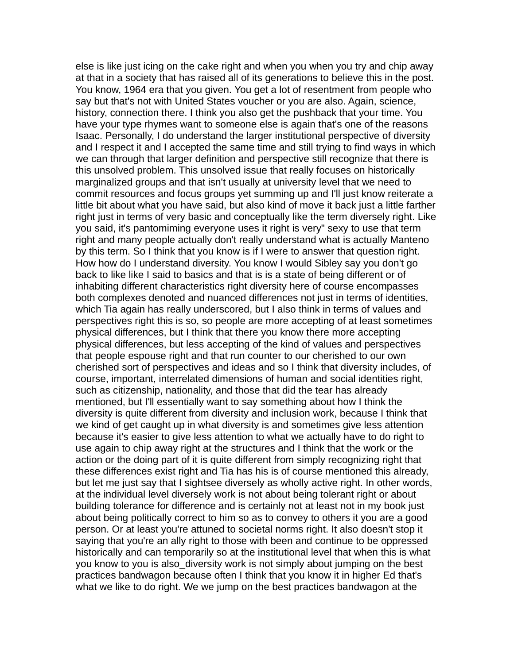else is like just icing on the cake right and when you when you try and chip away at that in a society that has raised all of its generations to believe this in the post. You know, 1964 era that you given. You get a lot of resentment from people who say but that's not with United States voucher or you are also. Again, science, history, connection there. I think you also get the pushback that your time. You have your type rhymes want to someone else is again that's one of the reasons Isaac. Personally, I do understand the larger institutional perspective of diversity and I respect it and I accepted the same time and still trying to find ways in which we can through that larger definition and perspective still recognize that there is this unsolved problem. This unsolved issue that really focuses on historically marginalized groups and that isn't usually at university level that we need to commit resources and focus groups yet summing up and I'll just know reiterate a little bit about what you have said, but also kind of move it back just a little farther right just in terms of very basic and conceptually like the term diversely right. Like you said, it's pantomiming everyone uses it right is very" sexy to use that term right and many people actually don't really understand what is actually Manteno by this term. So I think that you know is if I were to answer that question right. How how do I understand diversity. You know I would Sibley say you don't go back to like like I said to basics and that is is a state of being different or of inhabiting different characteristics right diversity here of course encompasses both complexes denoted and nuanced differences not just in terms of identities, which Tia again has really underscored, but I also think in terms of values and perspectives right this is so, so people are more accepting of at least sometimes physical differences, but I think that there you know there more accepting physical differences, but less accepting of the kind of values and perspectives that people espouse right and that run counter to our cherished to our own cherished sort of perspectives and ideas and so I think that diversity includes, of course, important, interrelated dimensions of human and social identities right, such as citizenship, nationality, and those that did the tear has already mentioned, but I'll essentially want to say something about how I think the diversity is quite different from diversity and inclusion work, because I think that we kind of get caught up in what diversity is and sometimes give less attention because it's easier to give less attention to what we actually have to do right to use again to chip away right at the structures and I think that the work or the action or the doing part of it is quite different from simply recognizing right that these differences exist right and Tia has his is of course mentioned this already, but let me just say that I sightsee diversely as wholly active right. In other words, at the individual level diversely work is not about being tolerant right or about building tolerance for difference and is certainly not at least not in my book just about being politically correct to him so as to convey to others it you are a good person. Or at least you're attuned to societal norms right. It also doesn't stop it saying that you're an ally right to those with been and continue to be oppressed historically and can temporarily so at the institutional level that when this is what you know to you is also diversity work is not simply about jumping on the best practices bandwagon because often I think that you know it in higher Ed that's what we like to do right. We we jump on the best practices bandwagon at the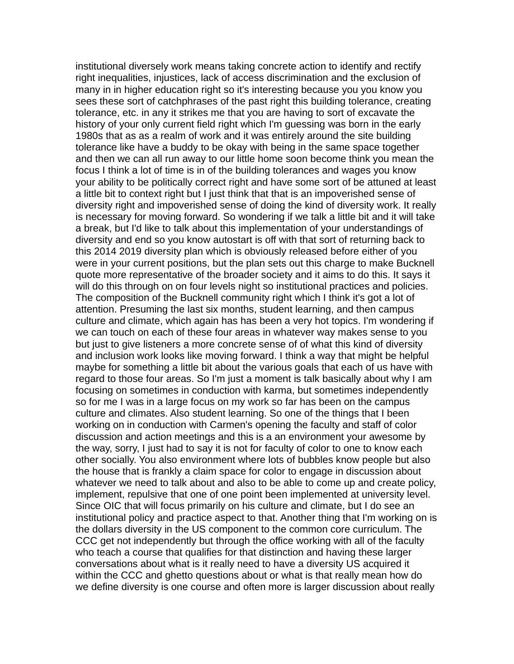institutional diversely work means taking concrete action to identify and rectify right inequalities, injustices, lack of access discrimination and the exclusion of many in in higher education right so it's interesting because you you know you sees these sort of catchphrases of the past right this building tolerance, creating tolerance, etc. in any it strikes me that you are having to sort of excavate the history of your only current field right which I'm guessing was born in the early 1980s that as as a realm of work and it was entirely around the site building tolerance like have a buddy to be okay with being in the same space together and then we can all run away to our little home soon become think you mean the focus I think a lot of time is in of the building tolerances and wages you know your ability to be politically correct right and have some sort of be attuned at least a little bit to context right but I just think that that is an impoverished sense of diversity right and impoverished sense of doing the kind of diversity work. It really is necessary for moving forward. So wondering if we talk a little bit and it will take a break, but I'd like to talk about this implementation of your understandings of diversity and end so you know autostart is off with that sort of returning back to this 2014 2019 diversity plan which is obviously released before either of you were in your current positions, but the plan sets out this charge to make Bucknell quote more representative of the broader society and it aims to do this. It says it will do this through on on four levels night so institutional practices and policies. The composition of the Bucknell community right which I think it's got a lot of attention. Presuming the last six months, student learning, and then campus culture and climate, which again has has been a very hot topics. I'm wondering if we can touch on each of these four areas in whatever way makes sense to you but just to give listeners a more concrete sense of of what this kind of diversity and inclusion work looks like moving forward. I think a way that might be helpful maybe for something a little bit about the various goals that each of us have with regard to those four areas. So I'm just a moment is talk basically about why I am focusing on sometimes in conduction with karma, but sometimes independently so for me I was in a large focus on my work so far has been on the campus culture and climates. Also student learning. So one of the things that I been working on in conduction with Carmen's opening the faculty and staff of color discussion and action meetings and this is a an environment your awesome by the way, sorry, I just had to say it is not for faculty of color to one to know each other socially. You also environment where lots of bubbles know people but also the house that is frankly a claim space for color to engage in discussion about whatever we need to talk about and also to be able to come up and create policy, implement, repulsive that one of one point been implemented at university level. Since OIC that will focus primarily on his culture and climate, but I do see an institutional policy and practice aspect to that. Another thing that I'm working on is the dollars diversity in the US component to the common core curriculum. The CCC get not independently but through the office working with all of the faculty who teach a course that qualifies for that distinction and having these larger conversations about what is it really need to have a diversity US acquired it within the CCC and ghetto questions about or what is that really mean how do we define diversity is one course and often more is larger discussion about really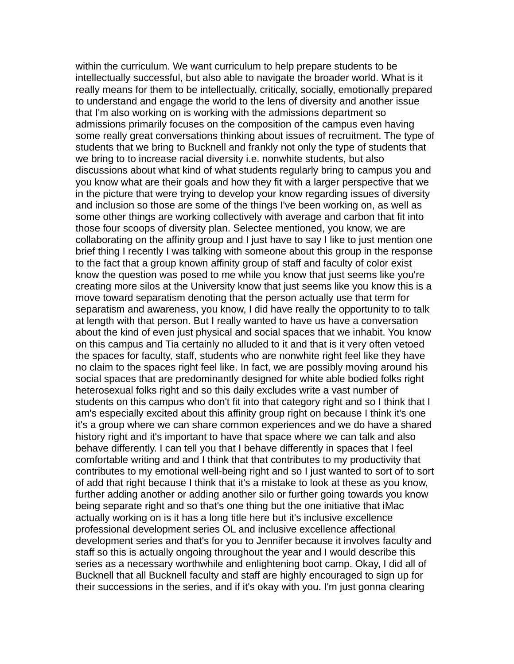within the curriculum. We want curriculum to help prepare students to be intellectually successful, but also able to navigate the broader world. What is it really means for them to be intellectually, critically, socially, emotionally prepared to understand and engage the world to the lens of diversity and another issue that I'm also working on is working with the admissions department so admissions primarily focuses on the composition of the campus even having some really great conversations thinking about issues of recruitment. The type of students that we bring to Bucknell and frankly not only the type of students that we bring to to increase racial diversity i.e. nonwhite students, but also discussions about what kind of what students regularly bring to campus you and you know what are their goals and how they fit with a larger perspective that we in the picture that were trying to develop your know regarding issues of diversity and inclusion so those are some of the things I've been working on, as well as some other things are working collectively with average and carbon that fit into those four scoops of diversity plan. Selectee mentioned, you know, we are collaborating on the affinity group and I just have to say I like to just mention one brief thing I recently I was talking with someone about this group in the response to the fact that a group known affinity group of staff and faculty of color exist know the question was posed to me while you know that just seems like you're creating more silos at the University know that just seems like you know this is a move toward separatism denoting that the person actually use that term for separatism and awareness, you know, I did have really the opportunity to to talk at length with that person. But I really wanted to have us have a conversation about the kind of even just physical and social spaces that we inhabit. You know on this campus and Tia certainly no alluded to it and that is it very often vetoed the spaces for faculty, staff, students who are nonwhite right feel like they have no claim to the spaces right feel like. In fact, we are possibly moving around his social spaces that are predominantly designed for white able bodied folks right heterosexual folks right and so this daily excludes write a vast number of students on this campus who don't fit into that category right and so I think that I am's especially excited about this affinity group right on because I think it's one it's a group where we can share common experiences and we do have a shared history right and it's important to have that space where we can talk and also behave differently. I can tell you that I behave differently in spaces that I feel comfortable writing and and I think that that contributes to my productivity that contributes to my emotional well-being right and so I just wanted to sort of to sort of add that right because I think that it's a mistake to look at these as you know, further adding another or adding another silo or further going towards you know being separate right and so that's one thing but the one initiative that iMac actually working on is it has a long title here but it's inclusive excellence professional development series OL and inclusive excellence affectional development series and that's for you to Jennifer because it involves faculty and staff so this is actually ongoing throughout the year and I would describe this series as a necessary worthwhile and enlightening boot camp. Okay, I did all of Bucknell that all Bucknell faculty and staff are highly encouraged to sign up for their successions in the series, and if it's okay with you. I'm just gonna clearing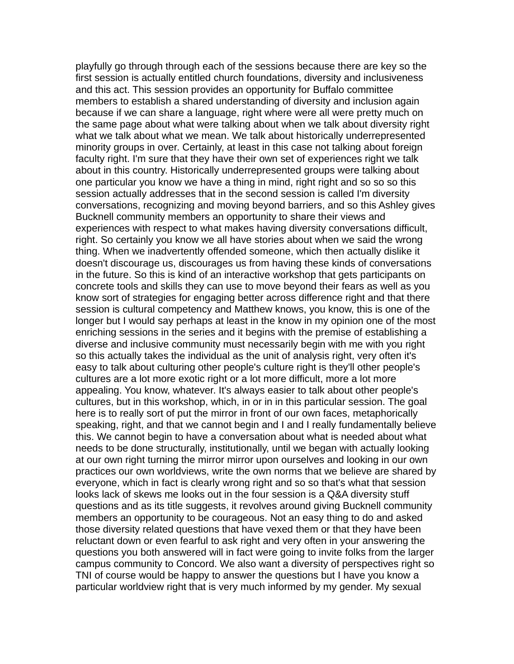playfully go through through each of the sessions because there are key so the first session is actually entitled church foundations, diversity and inclusiveness and this act. This session provides an opportunity for Buffalo committee members to establish a shared understanding of diversity and inclusion again because if we can share a language, right where were all were pretty much on the same page about what were talking about when we talk about diversity right what we talk about what we mean. We talk about historically underrepresented minority groups in over. Certainly, at least in this case not talking about foreign faculty right. I'm sure that they have their own set of experiences right we talk about in this country. Historically underrepresented groups were talking about one particular you know we have a thing in mind, right right and so so so this session actually addresses that in the second session is called I'm diversity conversations, recognizing and moving beyond barriers, and so this Ashley gives Bucknell community members an opportunity to share their views and experiences with respect to what makes having diversity conversations difficult, right. So certainly you know we all have stories about when we said the wrong thing. When we inadvertently offended someone, which then actually dislike it doesn't discourage us, discourages us from having these kinds of conversations in the future. So this is kind of an interactive workshop that gets participants on concrete tools and skills they can use to move beyond their fears as well as you know sort of strategies for engaging better across difference right and that there session is cultural competency and Matthew knows, you know, this is one of the longer but I would say perhaps at least in the know in my opinion one of the most enriching sessions in the series and it begins with the premise of establishing a diverse and inclusive community must necessarily begin with me with you right so this actually takes the individual as the unit of analysis right, very often it's easy to talk about culturing other people's culture right is they'll other people's cultures are a lot more exotic right or a lot more difficult, more a lot more appealing. You know, whatever. It's always easier to talk about other people's cultures, but in this workshop, which, in or in in this particular session. The goal here is to really sort of put the mirror in front of our own faces, metaphorically speaking, right, and that we cannot begin and I and I really fundamentally believe this. We cannot begin to have a conversation about what is needed about what needs to be done structurally, institutionally, until we began with actually looking at our own right turning the mirror mirror upon ourselves and looking in our own practices our own worldviews, write the own norms that we believe are shared by everyone, which in fact is clearly wrong right and so so that's what that session looks lack of skews me looks out in the four session is a Q&A diversity stuff questions and as its title suggests, it revolves around giving Bucknell community members an opportunity to be courageous. Not an easy thing to do and asked those diversity related questions that have vexed them or that they have been reluctant down or even fearful to ask right and very often in your answering the questions you both answered will in fact were going to invite folks from the larger campus community to Concord. We also want a diversity of perspectives right so TNI of course would be happy to answer the questions but I have you know a particular worldview right that is very much informed by my gender. My sexual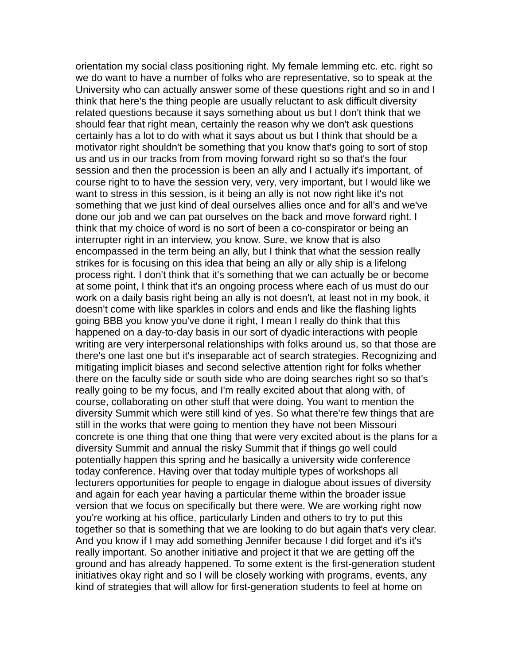orientation my social class positioning right. My female lemming etc. etc. right so we do want to have a number of folks who are representative, so to speak at the University who can actually answer some of these questions right and so in and I think that here's the thing people are usually reluctant to ask difficult diversity related questions because it says something about us but I don't think that we should fear that right mean, certainly the reason why we don't ask questions certainly has a lot to do with what it says about us but I think that should be a motivator right shouldn't be something that you know that's going to sort of stop us and us in our tracks from from moving forward right so so that's the four session and then the procession is been an ally and I actually it's important, of course right to to have the session very, very, very important, but I would like we want to stress in this session, is it being an ally is not now right like it's not something that we just kind of deal ourselves allies once and for all's and we've done our job and we can pat ourselves on the back and move forward right. I think that my choice of word is no sort of been a co-conspirator or being an interrupter right in an interview, you know. Sure, we know that is also encompassed in the term being an ally, but I think that what the session really strikes for is focusing on this idea that being an ally or ally ship is a lifelong process right. I don't think that it's something that we can actually be or become at some point, I think that it's an ongoing process where each of us must do our work on a daily basis right being an ally is not doesn't, at least not in my book, it doesn't come with like sparkles in colors and ends and like the flashing lights going BBB you know you've done it right, I mean I really do think that this happened on a day-to-day basis in our sort of dyadic interactions with people writing are very interpersonal relationships with folks around us, so that those are there's one last one but it's inseparable act of search strategies. Recognizing and mitigating implicit biases and second selective attention right for folks whether there on the faculty side or south side who are doing searches right so so that's really going to be my focus, and I'm really excited about that along with, of course, collaborating on other stuff that were doing. You want to mention the diversity Summit which were still kind of yes. So what there're few things that are still in the works that were going to mention they have not been Missouri concrete is one thing that one thing that were very excited about is the plans for a diversity Summit and annual the risky Summit that if things go well could potentially happen this spring and he basically a university wide conference today conference. Having over that today multiple types of workshops all lecturers opportunities for people to engage in dialogue about issues of diversity and again for each year having a particular theme within the broader issue version that we focus on specifically but there were. We are working right now you're working at his office, particularly Linden and others to try to put this together so that is something that we are looking to do but again that's very clear. And you know if I may add something Jennifer because I did forget and it's it's really important. So another initiative and project it that we are getting off the ground and has already happened. To some extent is the first-generation student initiatives okay right and so I will be closely working with programs, events, any kind of strategies that will allow for first-generation students to feel at home on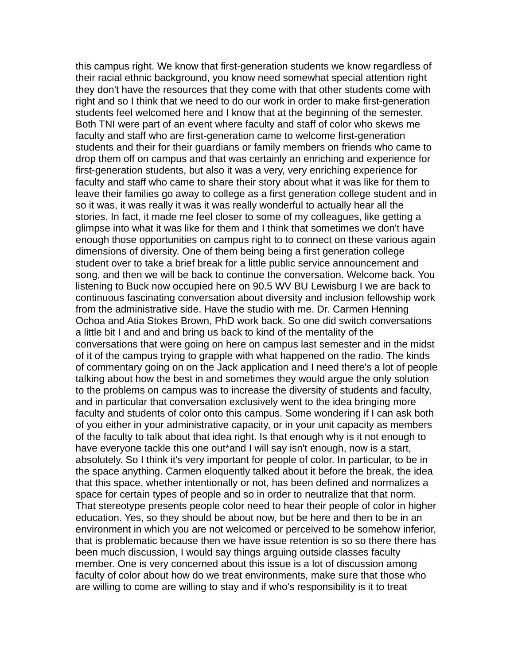this campus right. We know that first-generation students we know regardless of their racial ethnic background, you know need somewhat special attention right they don't have the resources that they come with that other students come with right and so I think that we need to do our work in order to make first-generation students feel welcomed here and I know that at the beginning of the semester. Both TNI were part of an event where faculty and staff of color who skews me faculty and staff who are first-generation came to welcome first-generation students and their for their guardians or family members on friends who came to drop them off on campus and that was certainly an enriching and experience for first-generation students, but also it was a very, very enriching experience for faculty and staff who came to share their story about what it was like for them to leave their families go away to college as a first generation college student and in so it was, it was really it was it was really wonderful to actually hear all the stories. In fact, it made me feel closer to some of my colleagues, like getting a glimpse into what it was like for them and I think that sometimes we don't have enough those opportunities on campus right to to connect on these various again dimensions of diversity. One of them being being a first generation college student over to take a brief break for a little public service announcement and song, and then we will be back to continue the conversation. Welcome back. You listening to Buck now occupied here on 90.5 WV BU Lewisburg I we are back to continuous fascinating conversation about diversity and inclusion fellowship work from the administrative side. Have the studio with me. Dr. Carmen Henning Ochoa and Atia Stokes Brown, PhD work back. So one did switch conversations a little bit I and and and bring us back to kind of the mentality of the conversations that were going on here on campus last semester and in the midst of it of the campus trying to grapple with what happened on the radio. The kinds of commentary going on on the Jack application and I need there's a lot of people talking about how the best in and sometimes they would argue the only solution to the problems on campus was to increase the diversity of students and faculty, and in particular that conversation exclusively went to the idea bringing more faculty and students of color onto this campus. Some wondering if I can ask both of you either in your administrative capacity, or in your unit capacity as members of the faculty to talk about that idea right. Is that enough why is it not enough to have everyone tackle this one out\*and I will say isn't enough, now is a start, absolutely. So I think it's very important for people of color. In particular, to be in the space anything. Carmen eloquently talked about it before the break, the idea that this space, whether intentionally or not, has been defined and normalizes a space for certain types of people and so in order to neutralize that that norm. That stereotype presents people color need to hear their people of color in higher education. Yes, so they should be about now, but be here and then to be in an environment in which you are not welcomed or perceived to be somehow inferior, that is problematic because then we have issue retention is so so there there has been much discussion, I would say things arguing outside classes faculty member. One is very concerned about this issue is a lot of discussion among faculty of color about how do we treat environments, make sure that those who are willing to come are willing to stay and if who's responsibility is it to treat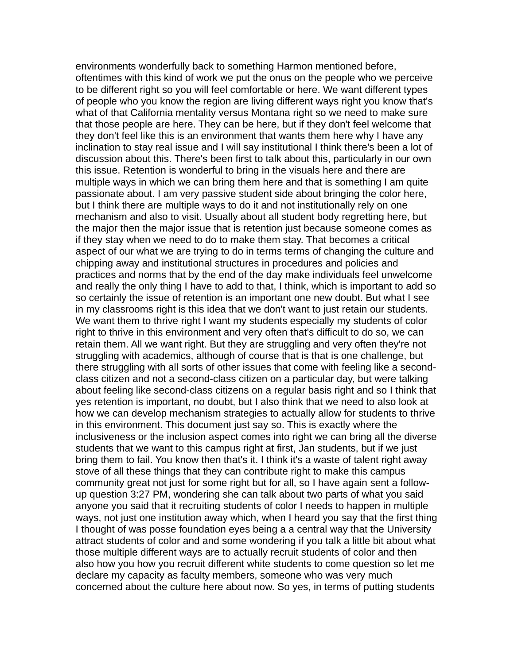environments wonderfully back to something Harmon mentioned before, oftentimes with this kind of work we put the onus on the people who we perceive to be different right so you will feel comfortable or here. We want different types of people who you know the region are living different ways right you know that's what of that California mentality versus Montana right so we need to make sure that those people are here. They can be here, but if they don't feel welcome that they don't feel like this is an environment that wants them here why I have any inclination to stay real issue and I will say institutional I think there's been a lot of discussion about this. There's been first to talk about this, particularly in our own this issue. Retention is wonderful to bring in the visuals here and there are multiple ways in which we can bring them here and that is something I am quite passionate about. I am very passive student side about bringing the color here, but I think there are multiple ways to do it and not institutionally rely on one mechanism and also to visit. Usually about all student body regretting here, but the major then the major issue that is retention just because someone comes as if they stay when we need to do to make them stay. That becomes a critical aspect of our what we are trying to do in terms terms of changing the culture and chipping away and institutional structures in procedures and policies and practices and norms that by the end of the day make individuals feel unwelcome and really the only thing I have to add to that, I think, which is important to add so so certainly the issue of retention is an important one new doubt. But what I see in my classrooms right is this idea that we don't want to just retain our students. We want them to thrive right I want my students especially my students of color right to thrive in this environment and very often that's difficult to do so, we can retain them. All we want right. But they are struggling and very often they're not struggling with academics, although of course that is that is one challenge, but there struggling with all sorts of other issues that come with feeling like a secondclass citizen and not a second-class citizen on a particular day, but were talking about feeling like second-class citizens on a regular basis right and so I think that yes retention is important, no doubt, but I also think that we need to also look at how we can develop mechanism strategies to actually allow for students to thrive in this environment. This document just say so. This is exactly where the inclusiveness or the inclusion aspect comes into right we can bring all the diverse students that we want to this campus right at first, Jan students, but if we just bring them to fail. You know then that's it. I think it's a waste of talent right away stove of all these things that they can contribute right to make this campus community great not just for some right but for all, so I have again sent a followup question 3:27 PM, wondering she can talk about two parts of what you said anyone you said that it recruiting students of color I needs to happen in multiple ways, not just one institution away which, when I heard you say that the first thing I thought of was posse foundation eyes being a a central way that the University attract students of color and and some wondering if you talk a little bit about what those multiple different ways are to actually recruit students of color and then also how you how you recruit different white students to come question so let me declare my capacity as faculty members, someone who was very much concerned about the culture here about now. So yes, in terms of putting students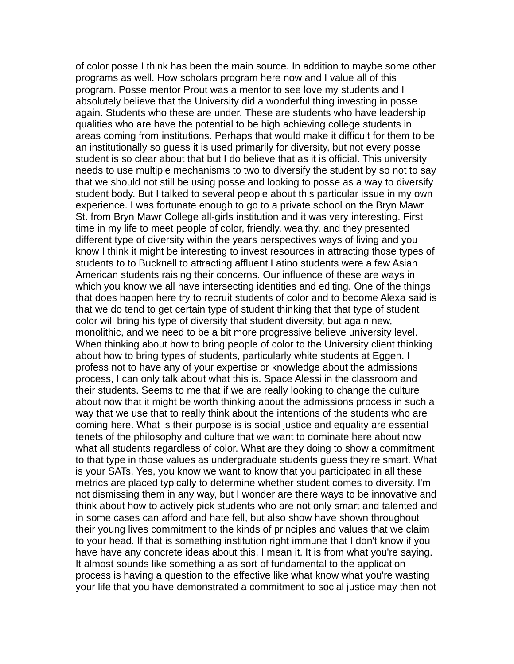of color posse I think has been the main source. In addition to maybe some other programs as well. How scholars program here now and I value all of this program. Posse mentor Prout was a mentor to see love my students and I absolutely believe that the University did a wonderful thing investing in posse again. Students who these are under. These are students who have leadership qualities who are have the potential to be high achieving college students in areas coming from institutions. Perhaps that would make it difficult for them to be an institutionally so guess it is used primarily for diversity, but not every posse student is so clear about that but I do believe that as it is official. This university needs to use multiple mechanisms to two to diversify the student by so not to say that we should not still be using posse and looking to posse as a way to diversify student body. But I talked to several people about this particular issue in my own experience. I was fortunate enough to go to a private school on the Bryn Mawr St. from Bryn Mawr College all-girls institution and it was very interesting. First time in my life to meet people of color, friendly, wealthy, and they presented different type of diversity within the years perspectives ways of living and you know I think it might be interesting to invest resources in attracting those types of students to to Bucknell to attracting affluent Latino students were a few Asian American students raising their concerns. Our influence of these are ways in which you know we all have intersecting identities and editing. One of the things that does happen here try to recruit students of color and to become Alexa said is that we do tend to get certain type of student thinking that that type of student color will bring his type of diversity that student diversity, but again new, monolithic, and we need to be a bit more progressive believe university level. When thinking about how to bring people of color to the University client thinking about how to bring types of students, particularly white students at Eggen. I profess not to have any of your expertise or knowledge about the admissions process, I can only talk about what this is. Space Alessi in the classroom and their students. Seems to me that if we are really looking to change the culture about now that it might be worth thinking about the admissions process in such a way that we use that to really think about the intentions of the students who are coming here. What is their purpose is is social justice and equality are essential tenets of the philosophy and culture that we want to dominate here about now what all students regardless of color. What are they doing to show a commitment to that type in those values as undergraduate students guess they're smart. What is your SATs. Yes, you know we want to know that you participated in all these metrics are placed typically to determine whether student comes to diversity. I'm not dismissing them in any way, but I wonder are there ways to be innovative and think about how to actively pick students who are not only smart and talented and in some cases can afford and hate fell, but also show have shown throughout their young lives commitment to the kinds of principles and values that we claim to your head. If that is something institution right immune that I don't know if you have have any concrete ideas about this. I mean it. It is from what you're saying. It almost sounds like something a as sort of fundamental to the application process is having a question to the effective like what know what you're wasting your life that you have demonstrated a commitment to social justice may then not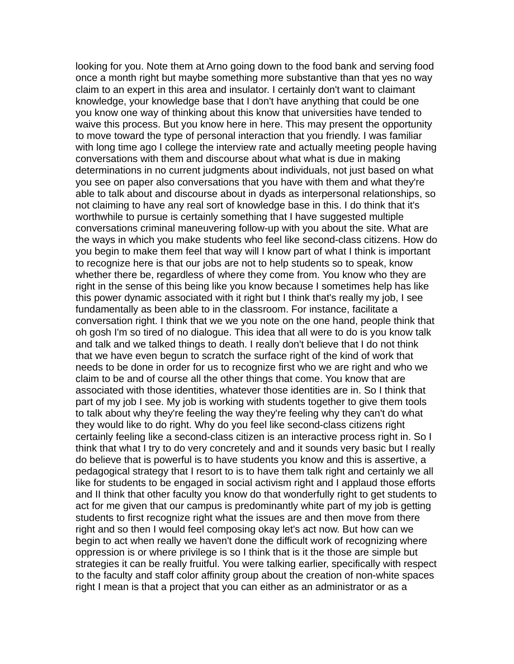looking for you. Note them at Arno going down to the food bank and serving food once a month right but maybe something more substantive than that yes no way claim to an expert in this area and insulator. I certainly don't want to claimant knowledge, your knowledge base that I don't have anything that could be one you know one way of thinking about this know that universities have tended to waive this process. But you know here in here. This may present the opportunity to move toward the type of personal interaction that you friendly. I was familiar with long time ago I college the interview rate and actually meeting people having conversations with them and discourse about what what is due in making determinations in no current judgments about individuals, not just based on what you see on paper also conversations that you have with them and what they're able to talk about and discourse about in dyads as interpersonal relationships, so not claiming to have any real sort of knowledge base in this. I do think that it's worthwhile to pursue is certainly something that I have suggested multiple conversations criminal maneuvering follow-up with you about the site. What are the ways in which you make students who feel like second-class citizens. How do you begin to make them feel that way will I know part of what I think is important to recognize here is that our jobs are not to help students so to speak, know whether there be, regardless of where they come from. You know who they are right in the sense of this being like you know because I sometimes help has like this power dynamic associated with it right but I think that's really my job, I see fundamentally as been able to in the classroom. For instance, facilitate a conversation right. I think that we we you note on the one hand, people think that oh gosh I'm so tired of no dialogue. This idea that all were to do is you know talk and talk and we talked things to death. I really don't believe that I do not think that we have even begun to scratch the surface right of the kind of work that needs to be done in order for us to recognize first who we are right and who we claim to be and of course all the other things that come. You know that are associated with those identities, whatever those identities are in. So I think that part of my job I see. My job is working with students together to give them tools to talk about why they're feeling the way they're feeling why they can't do what they would like to do right. Why do you feel like second-class citizens right certainly feeling like a second-class citizen is an interactive process right in. So I think that what I try to do very concretely and and it sounds very basic but I really do believe that is powerful is to have students you know and this is assertive, a pedagogical strategy that I resort to is to have them talk right and certainly we all like for students to be engaged in social activism right and I applaud those efforts and II think that other faculty you know do that wonderfully right to get students to act for me given that our campus is predominantly white part of my job is getting students to first recognize right what the issues are and then move from there right and so then I would feel composing okay let's act now. But how can we begin to act when really we haven't done the difficult work of recognizing where oppression is or where privilege is so I think that is it the those are simple but strategies it can be really fruitful. You were talking earlier, specifically with respect to the faculty and staff color affinity group about the creation of non-white spaces right I mean is that a project that you can either as an administrator or as a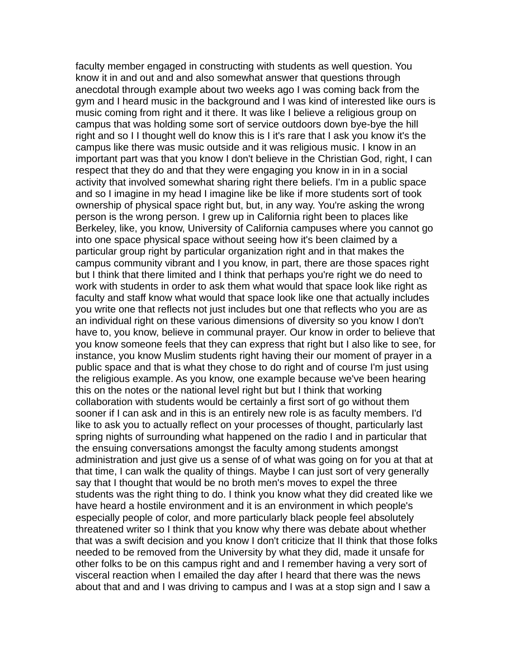faculty member engaged in constructing with students as well question. You know it in and out and and also somewhat answer that questions through anecdotal through example about two weeks ago I was coming back from the gym and I heard music in the background and I was kind of interested like ours is music coming from right and it there. It was like I believe a religious group on campus that was holding some sort of service outdoors down bye-bye the hill right and so I I thought well do know this is I it's rare that I ask you know it's the campus like there was music outside and it was religious music. I know in an important part was that you know I don't believe in the Christian God, right, I can respect that they do and that they were engaging you know in in in a social activity that involved somewhat sharing right there beliefs. I'm in a public space and so I imagine in my head I imagine like be like if more students sort of took ownership of physical space right but, but, in any way. You're asking the wrong person is the wrong person. I grew up in California right been to places like Berkeley, like, you know, University of California campuses where you cannot go into one space physical space without seeing how it's been claimed by a particular group right by particular organization right and in that makes the campus community vibrant and I you know, in part, there are those spaces right but I think that there limited and I think that perhaps you're right we do need to work with students in order to ask them what would that space look like right as faculty and staff know what would that space look like one that actually includes you write one that reflects not just includes but one that reflects who you are as an individual right on these various dimensions of diversity so you know I don't have to, you know, believe in communal prayer. Our know in order to believe that you know someone feels that they can express that right but I also like to see, for instance, you know Muslim students right having their our moment of prayer in a public space and that is what they chose to do right and of course I'm just using the religious example. As you know, one example because we've been hearing this on the notes or the national level right but but I think that working collaboration with students would be certainly a first sort of go without them sooner if I can ask and in this is an entirely new role is as faculty members. I'd like to ask you to actually reflect on your processes of thought, particularly last spring nights of surrounding what happened on the radio I and in particular that the ensuing conversations amongst the faculty among students amongst administration and just give us a sense of of what was going on for you at that at that time, I can walk the quality of things. Maybe I can just sort of very generally say that I thought that would be no broth men's moves to expel the three students was the right thing to do. I think you know what they did created like we have heard a hostile environment and it is an environment in which people's especially people of color, and more particularly black people feel absolutely threatened writer so I think that you know why there was debate about whether that was a swift decision and you know I don't criticize that II think that those folks needed to be removed from the University by what they did, made it unsafe for other folks to be on this campus right and and I remember having a very sort of visceral reaction when I emailed the day after I heard that there was the news about that and and I was driving to campus and I was at a stop sign and I saw a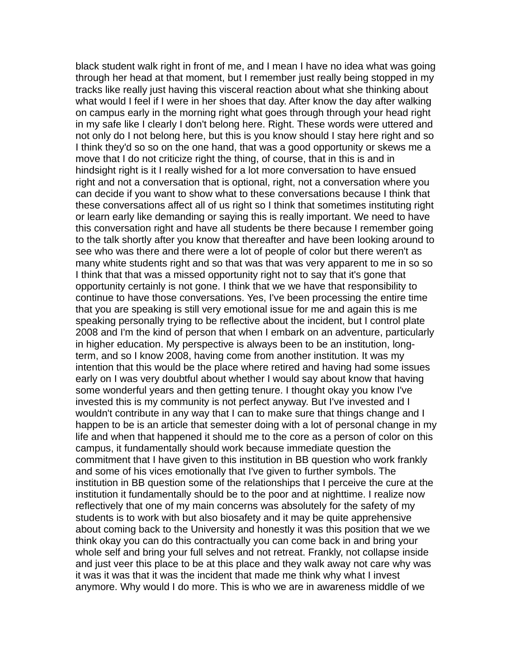black student walk right in front of me, and I mean I have no idea what was going through her head at that moment, but I remember just really being stopped in my tracks like really just having this visceral reaction about what she thinking about what would I feel if I were in her shoes that day. After know the day after walking on campus early in the morning right what goes through through your head right in my safe like I clearly I don't belong here. Right. These words were uttered and not only do I not belong here, but this is you know should I stay here right and so I think they'd so so on the one hand, that was a good opportunity or skews me a move that I do not criticize right the thing, of course, that in this is and in hindsight right is it I really wished for a lot more conversation to have ensued right and not a conversation that is optional, right, not a conversation where you can decide if you want to show what to these conversations because I think that these conversations affect all of us right so I think that sometimes instituting right or learn early like demanding or saying this is really important. We need to have this conversation right and have all students be there because I remember going to the talk shortly after you know that thereafter and have been looking around to see who was there and there were a lot of people of color but there weren't as many white students right and so that was that was very apparent to me in so so I think that that was a missed opportunity right not to say that it's gone that opportunity certainly is not gone. I think that we we have that responsibility to continue to have those conversations. Yes, I've been processing the entire time that you are speaking is still very emotional issue for me and again this is me speaking personally trying to be reflective about the incident, but I control plate 2008 and I'm the kind of person that when I embark on an adventure, particularly in higher education. My perspective is always been to be an institution, longterm, and so I know 2008, having come from another institution. It was my intention that this would be the place where retired and having had some issues early on I was very doubtful about whether I would say about know that having some wonderful years and then getting tenure. I thought okay you know I've invested this is my community is not perfect anyway. But I've invested and I wouldn't contribute in any way that I can to make sure that things change and I happen to be is an article that semester doing with a lot of personal change in my life and when that happened it should me to the core as a person of color on this campus, it fundamentally should work because immediate question the commitment that I have given to this institution in BB question who work frankly and some of his vices emotionally that I've given to further symbols. The institution in BB question some of the relationships that I perceive the cure at the institution it fundamentally should be to the poor and at nighttime. I realize now reflectively that one of my main concerns was absolutely for the safety of my students is to work with but also biosafety and it may be quite apprehensive about coming back to the University and honestly it was this position that we we think okay you can do this contractually you can come back in and bring your whole self and bring your full selves and not retreat. Frankly, not collapse inside and just veer this place to be at this place and they walk away not care why was it was it was that it was the incident that made me think why what I invest anymore. Why would I do more. This is who we are in awareness middle of we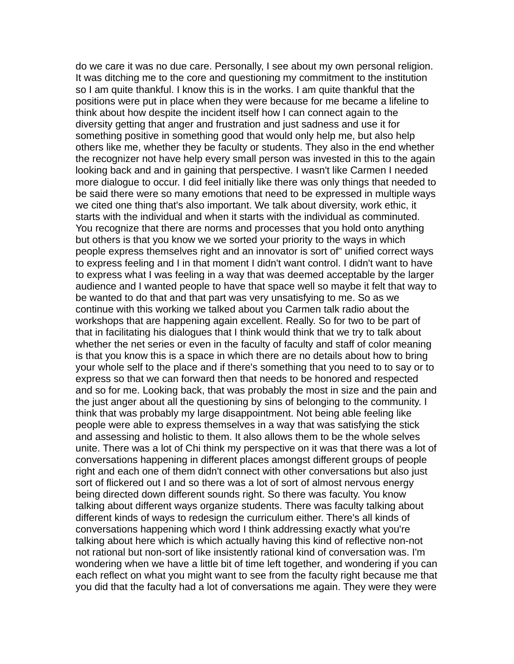do we care it was no due care. Personally, I see about my own personal religion. It was ditching me to the core and questioning my commitment to the institution so I am quite thankful. I know this is in the works. I am quite thankful that the positions were put in place when they were because for me became a lifeline to think about how despite the incident itself how I can connect again to the diversity getting that anger and frustration and just sadness and use it for something positive in something good that would only help me, but also help others like me, whether they be faculty or students. They also in the end whether the recognizer not have help every small person was invested in this to the again looking back and and in gaining that perspective. I wasn't like Carmen I needed more dialogue to occur. I did feel initially like there was only things that needed to be said there were so many emotions that need to be expressed in multiple ways we cited one thing that's also important. We talk about diversity, work ethic, it starts with the individual and when it starts with the individual as comminuted. You recognize that there are norms and processes that you hold onto anything but others is that you know we we sorted your priority to the ways in which people express themselves right and an innovator is sort of" unified correct ways to express feeling and I in that moment I didn't want control. I didn't want to have to express what I was feeling in a way that was deemed acceptable by the larger audience and I wanted people to have that space well so maybe it felt that way to be wanted to do that and that part was very unsatisfying to me. So as we continue with this working we talked about you Carmen talk radio about the workshops that are happening again excellent. Really. So for two to be part of that in facilitating his dialogues that I think would think that we try to talk about whether the net series or even in the faculty of faculty and staff of color meaning is that you know this is a space in which there are no details about how to bring your whole self to the place and if there's something that you need to to say or to express so that we can forward then that needs to be honored and respected and so for me. Looking back, that was probably the most in size and the pain and the just anger about all the questioning by sins of belonging to the community. I think that was probably my large disappointment. Not being able feeling like people were able to express themselves in a way that was satisfying the stick and assessing and holistic to them. It also allows them to be the whole selves unite. There was a lot of Chi think my perspective on it was that there was a lot of conversations happening in different places amongst different groups of people right and each one of them didn't connect with other conversations but also just sort of flickered out I and so there was a lot of sort of almost nervous energy being directed down different sounds right. So there was faculty. You know talking about different ways organize students. There was faculty talking about different kinds of ways to redesign the curriculum either. There's all kinds of conversations happening which word I think addressing exactly what you're talking about here which is which actually having this kind of reflective non-not not rational but non-sort of like insistently rational kind of conversation was. I'm wondering when we have a little bit of time left together, and wondering if you can each reflect on what you might want to see from the faculty right because me that you did that the faculty had a lot of conversations me again. They were they were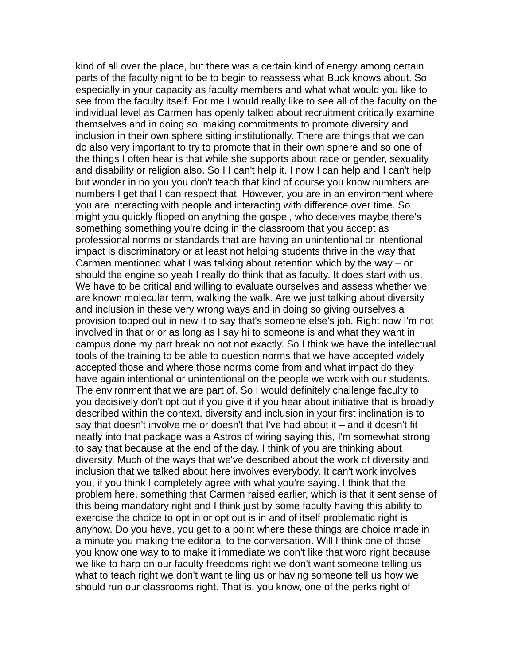kind of all over the place, but there was a certain kind of energy among certain parts of the faculty night to be to begin to reassess what Buck knows about. So especially in your capacity as faculty members and what what would you like to see from the faculty itself. For me I would really like to see all of the faculty on the individual level as Carmen has openly talked about recruitment critically examine themselves and in doing so, making commitments to promote diversity and inclusion in their own sphere sitting institutionally. There are things that we can do also very important to try to promote that in their own sphere and so one of the things I often hear is that while she supports about race or gender, sexuality and disability or religion also. So I I can't help it. I now I can help and I can't help but wonder in no you you don't teach that kind of course you know numbers are numbers I get that I can respect that. However, you are in an environment where you are interacting with people and interacting with difference over time. So might you quickly flipped on anything the gospel, who deceives maybe there's something something you're doing in the classroom that you accept as professional norms or standards that are having an unintentional or intentional impact is discriminatory or at least not helping students thrive in the way that Carmen mentioned what I was talking about retention which by the way – or should the engine so yeah I really do think that as faculty. It does start with us. We have to be critical and willing to evaluate ourselves and assess whether we are known molecular term, walking the walk. Are we just talking about diversity and inclusion in these very wrong ways and in doing so giving ourselves a provision topped out in new it to say that's someone else's job. Right now I'm not involved in that or or as long as I say hi to someone is and what they want in campus done my part break no not not exactly. So I think we have the intellectual tools of the training to be able to question norms that we have accepted widely accepted those and where those norms come from and what impact do they have again intentional or unintentional on the people we work with our students. The environment that we are part of. So I would definitely challenge faculty to you decisively don't opt out if you give it if you hear about initiative that is broadly described within the context, diversity and inclusion in your first inclination is to say that doesn't involve me or doesn't that I've had about it – and it doesn't fit neatly into that package was a Astros of wiring saying this, I'm somewhat strong to say that because at the end of the day. I think of you are thinking about diversity. Much of the ways that we've described about the work of diversity and inclusion that we talked about here involves everybody. It can't work involves you, if you think I completely agree with what you're saying. I think that the problem here, something that Carmen raised earlier, which is that it sent sense of this being mandatory right and I think just by some faculty having this ability to exercise the choice to opt in or opt out is in and of itself problematic right is anyhow. Do you have, you get to a point where these things are choice made in a minute you making the editorial to the conversation. Will I think one of those you know one way to to make it immediate we don't like that word right because we like to harp on our faculty freedoms right we don't want someone telling us what to teach right we don't want telling us or having someone tell us how we should run our classrooms right. That is, you know, one of the perks right of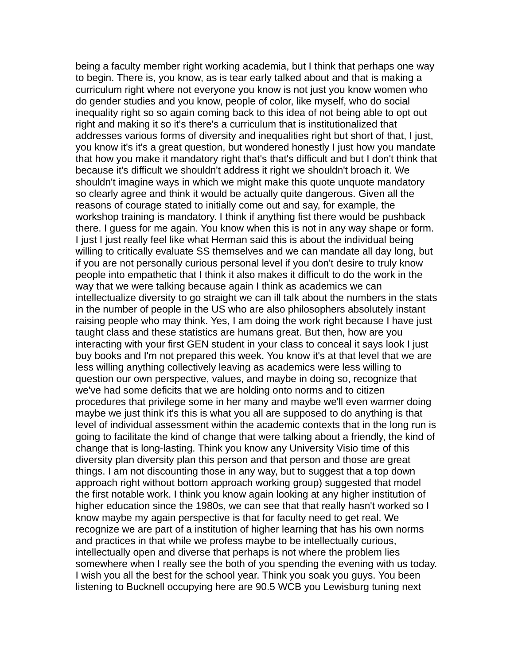being a faculty member right working academia, but I think that perhaps one way to begin. There is, you know, as is tear early talked about and that is making a curriculum right where not everyone you know is not just you know women who do gender studies and you know, people of color, like myself, who do social inequality right so so again coming back to this idea of not being able to opt out right and making it so it's there's a curriculum that is institutionalized that addresses various forms of diversity and inequalities right but short of that, I just, you know it's it's a great question, but wondered honestly I just how you mandate that how you make it mandatory right that's that's difficult and but I don't think that because it's difficult we shouldn't address it right we shouldn't broach it. We shouldn't imagine ways in which we might make this quote unquote mandatory so clearly agree and think it would be actually quite dangerous. Given all the reasons of courage stated to initially come out and say, for example, the workshop training is mandatory. I think if anything fist there would be pushback there. I guess for me again. You know when this is not in any way shape or form. I just I just really feel like what Herman said this is about the individual being willing to critically evaluate SS themselves and we can mandate all day long, but if you are not personally curious personal level if you don't desire to truly know people into empathetic that I think it also makes it difficult to do the work in the way that we were talking because again I think as academics we can intellectualize diversity to go straight we can ill talk about the numbers in the stats in the number of people in the US who are also philosophers absolutely instant raising people who may think. Yes, I am doing the work right because I have just taught class and these statistics are humans great. But then, how are you interacting with your first GEN student in your class to conceal it says look I just buy books and I'm not prepared this week. You know it's at that level that we are less willing anything collectively leaving as academics were less willing to question our own perspective, values, and maybe in doing so, recognize that we've had some deficits that we are holding onto norms and to citizen procedures that privilege some in her many and maybe we'll even warmer doing maybe we just think it's this is what you all are supposed to do anything is that level of individual assessment within the academic contexts that in the long run is going to facilitate the kind of change that were talking about a friendly, the kind of change that is long-lasting. Think you know any University Visio time of this diversity plan diversity plan this person and that person and those are great things. I am not discounting those in any way, but to suggest that a top down approach right without bottom approach working group) suggested that model the first notable work. I think you know again looking at any higher institution of higher education since the 1980s, we can see that that really hasn't worked so I know maybe my again perspective is that for faculty need to get real. We recognize we are part of a institution of higher learning that has his own norms and practices in that while we profess maybe to be intellectually curious, intellectually open and diverse that perhaps is not where the problem lies somewhere when I really see the both of you spending the evening with us today. I wish you all the best for the school year. Think you soak you guys. You been listening to Bucknell occupying here are 90.5 WCB you Lewisburg tuning next